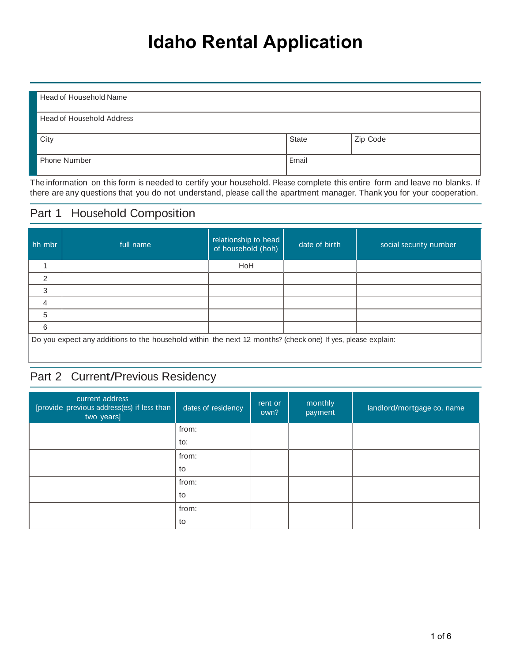# **Idaho Rental Application**

|       | Zip Code |
|-------|----------|
|       |          |
| Email |          |
|       |          |
|       | State    |

The information on this form is needed to certify your household. Please complete this entire form and leave no blanks. If there are any questions that you do not understand, please call the apartment manager. Thank you for your cooperation.

### Part 1 Household Composition

| hh mbr         | full name                                                                                                   | relationship to head<br>of household (hoh) | date of birth | social security number |  |  |  |
|----------------|-------------------------------------------------------------------------------------------------------------|--------------------------------------------|---------------|------------------------|--|--|--|
|                |                                                                                                             | HoH                                        |               |                        |  |  |  |
| $\overline{2}$ |                                                                                                             |                                            |               |                        |  |  |  |
| 3              |                                                                                                             |                                            |               |                        |  |  |  |
| 4              |                                                                                                             |                                            |               |                        |  |  |  |
| 5              |                                                                                                             |                                            |               |                        |  |  |  |
| 6              |                                                                                                             |                                            |               |                        |  |  |  |
|                | Do you expect any additions to the household within the next 12 months? (check one) If yes, please explain: |                                            |               |                        |  |  |  |

### Part 2 Current/Previous Residency

| current address<br>[provide previous address(es) if less than<br>two years] | dates of residency | rent or<br>own? | monthly<br>payment | landlord/mortgage co. name |
|-----------------------------------------------------------------------------|--------------------|-----------------|--------------------|----------------------------|
|                                                                             | from:              |                 |                    |                            |
|                                                                             | to:                |                 |                    |                            |
|                                                                             | from:              |                 |                    |                            |
|                                                                             | to                 |                 |                    |                            |
|                                                                             | from:              |                 |                    |                            |
|                                                                             | to                 |                 |                    |                            |
|                                                                             | from:              |                 |                    |                            |
|                                                                             | to                 |                 |                    |                            |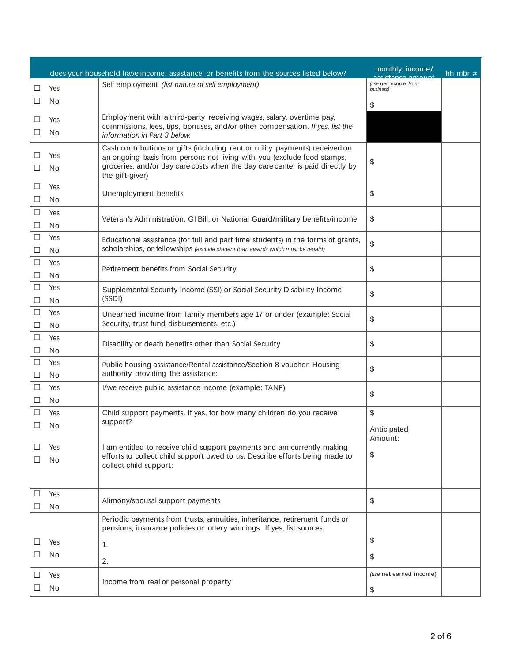|        |           | does your household have income, assistance, or benefits from the sources listed below?                                                                 | monthly income/                   | hh mbr $#$ |
|--------|-----------|---------------------------------------------------------------------------------------------------------------------------------------------------------|-----------------------------------|------------|
| □      | Yes       | Self employment (list nature of self employment)                                                                                                        | (use net income from<br>business) |            |
| □      | No        |                                                                                                                                                         | \$                                |            |
|        |           | Employment with a third-party receiving wages, salary, overtime pay,                                                                                    |                                   |            |
| ⊔      | Yes       | commissions, fees, tips, bonuses, and/or other compensation. If yes, list the                                                                           |                                   |            |
| □      | No        | information in Part 3 below.                                                                                                                            |                                   |            |
| ⊔      | Yes       | Cash contributions or gifts (including rent or utility payments) received on<br>an ongoing basis from persons not living with you (exclude food stamps, |                                   |            |
| ⊔      | No        | groceries, and/or day care costs when the day care center is paid directly by<br>the gift-giver)                                                        | \$                                |            |
| ப      | Yes       |                                                                                                                                                         | \$                                |            |
| ⊔      | No        | Unemployment benefits                                                                                                                                   |                                   |            |
| □      | Yes       | Veteran's Administration, GI Bill, or National Guard/military benefits/income                                                                           | \$                                |            |
| □      | No        |                                                                                                                                                         |                                   |            |
| □      | Yes       | Educational assistance (for full and part time students) in the forms of grants,                                                                        | \$                                |            |
| □      | No        | scholarships, or fellowships (exclude student loan awards which must be repaid)                                                                         |                                   |            |
| □      | Yes       | Retirement benefits from Social Security                                                                                                                | \$                                |            |
| □<br>□ | No<br>Yes |                                                                                                                                                         |                                   |            |
| ⊔      | No        | Supplemental Security Income (SSI) or Social Security Disability Income<br>(SSDI)                                                                       | \$                                |            |
| □      | Yes       |                                                                                                                                                         |                                   |            |
| □      | No        | Unearned income from family members age 17 or under (example: Social<br>Security, trust fund disbursements, etc.)                                       | \$                                |            |
| □      | Yes       |                                                                                                                                                         |                                   |            |
| □      | No        | Disability or death benefits other than Social Security                                                                                                 | \$                                |            |
| □      | Yes       | Public housing assistance/Rental assistance/Section 8 voucher. Housing                                                                                  | \$                                |            |
| ⊔      | No        | authority providing the assistance:                                                                                                                     |                                   |            |
| □      | Yes       | I/we receive public assistance income (example: TANF)                                                                                                   | \$                                |            |
| ப      | No        |                                                                                                                                                         |                                   |            |
| ⊔      | Yes       | Child support payments. If yes, for how many children do you receive<br>support?                                                                        | \$                                |            |
| ⊔      | No        |                                                                                                                                                         | Anticipated                       |            |
| ⊔      | Yes       | I am entitled to receive child support payments and am currently making                                                                                 | Amount:                           |            |
| □      | No        | efforts to collect child support owed to us. Describe efforts being made to                                                                             | \$                                |            |
|        |           | collect child support:                                                                                                                                  |                                   |            |
| □      | Yes       |                                                                                                                                                         |                                   |            |
| ⊔      | No        | Alimony/spousal support payments                                                                                                                        | \$                                |            |
|        |           | Periodic payments from trusts, annuities, inheritance, retirement funds or<br>pensions, insurance policies or lottery winnings. If yes, list sources:   |                                   |            |
| ⊔      | Yes       | 1.                                                                                                                                                      | \$                                |            |
| ⊔      | No        | 2.                                                                                                                                                      | \$                                |            |
|        | Yes       |                                                                                                                                                         | (use net earned income)           |            |
|        | No        | Income from real or personal property                                                                                                                   |                                   |            |
|        |           |                                                                                                                                                         | \$                                |            |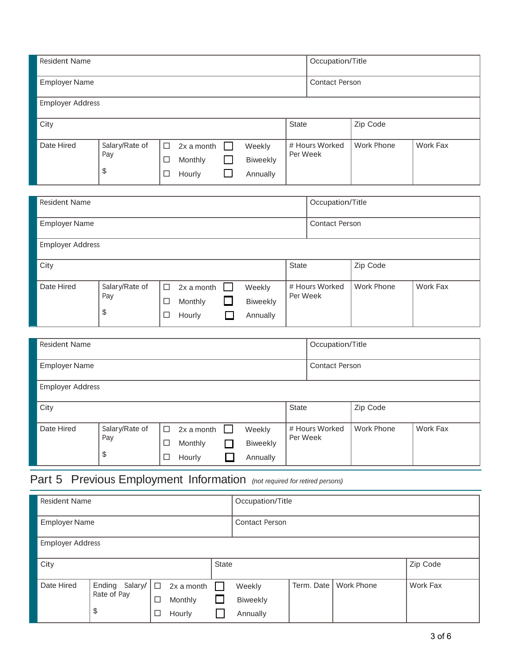| <b>Resident Name</b>    |                             |                       |                                 |                  |                                | Occupation/Title |                       |                   |          |  |
|-------------------------|-----------------------------|-----------------------|---------------------------------|------------------|--------------------------------|------------------|-----------------------|-------------------|----------|--|
| <b>Employer Name</b>    |                             |                       |                                 |                  |                                |                  | <b>Contact Person</b> |                   |          |  |
| <b>Employer Address</b> |                             |                       |                                 |                  |                                |                  |                       |                   |          |  |
| City                    |                             |                       |                                 |                  |                                | <b>State</b>     |                       | Zip Code          |          |  |
| Date Hired              | Salary/Rate of<br>Pay<br>\$ | $\Box$<br>$\Box$<br>□ | 2x a month<br>Monthly<br>Hourly | $\Box$<br>$\Box$ | Weekly<br>Biweekly<br>Annually | Per Week         | # Hours Worked        | <b>Work Phone</b> | Work Fax |  |
| <b>Resident Name</b>    | Occupation/Title            |                       |                                 |                  |                                |                  |                       |                   |          |  |
| <b>Employer Name</b>    |                             |                       |                                 |                  |                                |                  | <b>Contact Person</b> |                   |          |  |
| <b>Employer Address</b> |                             |                       |                                 |                  |                                |                  |                       |                   |          |  |
| City                    |                             |                       |                                 |                  |                                | <b>State</b>     |                       | Zip Code          |          |  |
| Date Hired              | Salary/Rate of<br>Pay<br>\$ | $\Box$<br>□<br>□      | 2x a month<br>Monthly<br>Hourly | - 1<br>□         | Weekly<br>Biweekly<br>Annually | Per Week         | # Hours Worked        | <b>Work Phone</b> | Work Fax |  |
| <b>Resident Name</b>    |                             |                       |                                 |                  |                                |                  | Occupation/Title      |                   |          |  |
| <b>Employer Name</b>    |                             |                       |                                 |                  |                                |                  | <b>Contact Person</b> |                   |          |  |

| <b>Employer Address</b> |                             |                  |                                 |  |                                       |                            |            |          |
|-------------------------|-----------------------------|------------------|---------------------------------|--|---------------------------------------|----------------------------|------------|----------|
| City                    |                             |                  |                                 |  | <b>State</b>                          | Zip Code                   |            |          |
| Date Hired              | Salary/Rate of<br>Pay<br>\$ | $\Box$<br>□<br>□ | 2x a month<br>Monthly<br>Hourly |  | Weekly<br><b>Biweekly</b><br>Annually | # Hours Worked<br>Per Week | Work Phone | Work Fax |

# Part 5 Previous Employment Information *(not required for retired persons)*

| <b>Resident Name</b>    |                                            |        |                                 |       | Occupation/Title               |            |                   |          |  |
|-------------------------|--------------------------------------------|--------|---------------------------------|-------|--------------------------------|------------|-------------------|----------|--|
| <b>Employer Name</b>    |                                            |        |                                 |       | <b>Contact Person</b>          |            |                   |          |  |
| <b>Employer Address</b> |                                            |        |                                 |       |                                |            |                   |          |  |
| City                    |                                            |        |                                 | State |                                |            |                   | Zip Code |  |
| Date Hired              | Salary/   □<br>Ending<br>Rate of Pay<br>\$ | □<br>□ | 2x a month<br>Monthly<br>Hourly | ப     | Weekly<br>Biweekly<br>Annually | Term. Date | <b>Work Phone</b> | Work Fax |  |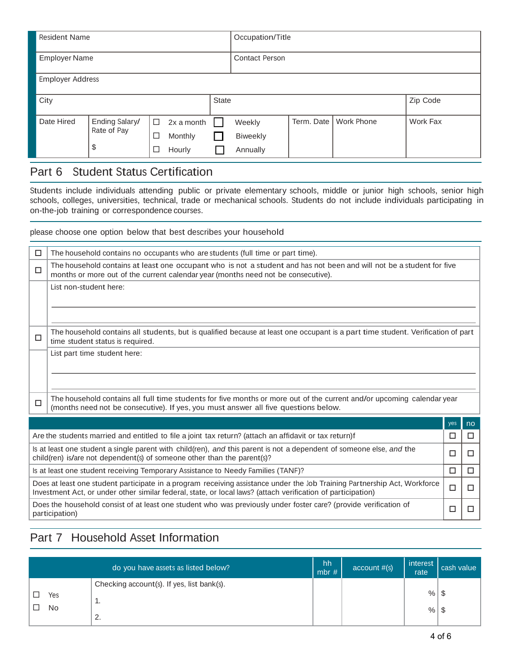| <b>Resident Name</b>    |                                     |                       |                                 |              | Occupation/Title               |            |                   |          |  |
|-------------------------|-------------------------------------|-----------------------|---------------------------------|--------------|--------------------------------|------------|-------------------|----------|--|
| <b>Employer Name</b>    |                                     |                       |                                 |              | <b>Contact Person</b>          |            |                   |          |  |
| <b>Employer Address</b> |                                     |                       |                                 |              |                                |            |                   |          |  |
| City                    |                                     |                       |                                 | <b>State</b> |                                |            |                   | Zip Code |  |
| Date Hired              | Ending Salary/<br>Rate of Pay<br>\$ | $\Box$<br>$\Box$<br>□ | 2x a month<br>Monthly<br>Hourly |              | Weekly<br>Biweekly<br>Annually | Term. Date | <b>Work Phone</b> | Work Fax |  |

### Part 6 Student Status Certification

Students include individuals attending public or private elementary schools, middle or junior high schools, senior high schools, colleges, universities, technical, trade or mechanical schools. Students do not include individuals participating in on-the-job training or correspondence courses.

please choose one option below that best describes your household

| □ | The household contains no occupants who are students (full time or part time).                                                                                                                                                                      |     |    |  |  |  |  |
|---|-----------------------------------------------------------------------------------------------------------------------------------------------------------------------------------------------------------------------------------------------------|-----|----|--|--|--|--|
| □ | The household contains at least one occupant who is not a student and has not been and will not be a student for five<br>months or more out of the current calendar year (months need not be consecutive).                                          |     |    |  |  |  |  |
|   | List non-student here:                                                                                                                                                                                                                              |     |    |  |  |  |  |
| □ | The household contains all students, but is qualified because at least one occupant is a part time student. Verification of part<br>time student status is required.                                                                                |     |    |  |  |  |  |
|   | List part time student here:                                                                                                                                                                                                                        |     |    |  |  |  |  |
| □ | The household contains all full time students for five months or more out of the current and/or upcoming calendar year<br>(months need not be consecutive). If yes, you must answer all five questions below.                                       |     |    |  |  |  |  |
|   |                                                                                                                                                                                                                                                     | yes | no |  |  |  |  |
|   | Are the students married and entitled to file a joint tax return? (attach an affidavit or tax return)f                                                                                                                                              | □   | □  |  |  |  |  |
|   | Is at least one student a single parent with child(ren), and this parent is not a dependent of someone else, and the<br>□<br>П<br>child(ren) is/are not dependent(s) of someone other than the parent(s)?                                           |     |    |  |  |  |  |
|   | Is at least one student receiving Temporary Assistance to Needy Families (TANF)?<br>□<br>□                                                                                                                                                          |     |    |  |  |  |  |
|   | Does at least one student participate in a program receiving assistance under the Job Training Partnership Act, Workforce<br>□<br>□<br>Investment Act, or under other similar federal, state, or local laws? (attach verification of participation) |     |    |  |  |  |  |
|   | Does the household consist of at least one student who was previously under foster care? (provide verification of<br>participation)                                                                                                                 | □   |    |  |  |  |  |

## Part 7 Household Asset Information

|           | do you have assets as listed below?                                | hh<br>mbr $#$ | account #(s) | interest<br>rate     | cash value |
|-----------|--------------------------------------------------------------------|---------------|--------------|----------------------|------------|
| Yes<br>No | Checking account(s). If yes, list bank(s).<br>. .<br>⌒<br><u>.</u> |               |              | $%$   \$<br>$%$   \$ |            |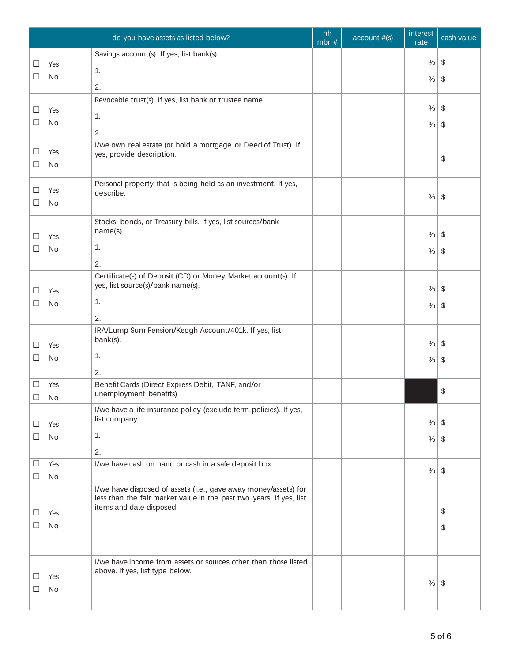|        |           | do you have assets as listed below?                                                             | hh<br>mbr $#$ | account #(s) | interest<br>rate | cash value              |
|--------|-----------|-------------------------------------------------------------------------------------------------|---------------|--------------|------------------|-------------------------|
| □      | Yes       | Savings account(s). If yes, list bank(s).                                                       |               |              | $\%$             | -\$                     |
| □      | No        | 1.                                                                                              |               |              |                  |                         |
|        |           | 2.                                                                                              |               |              | $\%$             | \$                      |
|        |           | Revocable trust(s). If yes, list bank or trustee name.                                          |               |              |                  |                         |
| ⊔      | Yes       | 1.                                                                                              |               |              | $\%$             | -\$                     |
| ப      | No        | 2.                                                                                              |               |              | $\%$             | \$                      |
|        |           | I/we own real estate (or hold a mortgage or Deed of Trust). If                                  |               |              |                  |                         |
| □      | Yes       | yes, provide description.                                                                       |               |              |                  | \$                      |
| ⊔      | No        |                                                                                                 |               |              |                  |                         |
| ப      | Yes       | Personal property that is being held as an investment. If yes,<br>describe:                     |               |              |                  |                         |
| ⊔      | No        |                                                                                                 |               |              | $\%$             | $\sqrt[6]{\frac{1}{2}}$ |
|        |           | Stocks, bonds, or Treasury bills. If yes, list sources/bank                                     |               |              |                  |                         |
|        |           | name(s).                                                                                        |               |              | $\%$             | \$                      |
| ப<br>□ | Yes<br>No | 1.                                                                                              |               |              |                  |                         |
|        |           | 2.                                                                                              |               |              | $\%$             | \$                      |
|        |           | Certificate(s) of Deposit (CD) or Money Market account(s). If                                   |               |              |                  |                         |
| ⊔      | Yes       | yes, list source(s)/bank name(s).                                                               |               |              | $\%$             | - \$                    |
| □      | No        | 1.                                                                                              |               |              | $\%$             | \$                      |
|        |           | 2.                                                                                              |               |              |                  |                         |
|        |           | IRA/Lump Sum Pension/Keogh Account/401k. If yes, list                                           |               |              |                  |                         |
| ⊓      | Yes       | bank(s).                                                                                        |               |              | $\%$             | -\$                     |
| □      | No        | 1.                                                                                              |               |              | $\%$             | \$                      |
|        |           | 2.                                                                                              |               |              |                  |                         |
| ⊔      | Yes       | Benefit Cards (Direct Express Debit, TANF, and/or                                               |               |              |                  | \$                      |
| □      | No        | unemployment benefits)                                                                          |               |              |                  |                         |
|        |           | I/we have a life insurance policy (exclude term policies). If yes,<br>list company.             |               |              |                  |                         |
| ப      | Yes       | 1.                                                                                              |               |              | $\%$             | -\$                     |
| □      | <b>No</b> |                                                                                                 |               |              | $\%$             | l S                     |
| ⊔      | Yes       | 2.<br>I/we have cash on hand or cash in a safe deposit box.                                     |               |              |                  |                         |
| □      | No        |                                                                                                 |               |              | $\%$             | $\sqrt[6]{\frac{1}{2}}$ |
|        |           | I/we have disposed of assets (i.e., gave away money/assets) for                                 |               |              |                  |                         |
|        |           | less than the fair market value in the past two years. If yes, list<br>items and date disposed. |               |              |                  |                         |
| ⊔      | Yes       |                                                                                                 |               |              |                  | \$                      |
| □      | No        |                                                                                                 |               |              |                  | \$                      |
|        |           |                                                                                                 |               |              |                  |                         |
|        |           | I/we have income from assets or sources other than those listed                                 |               |              |                  |                         |
| LI     | Yes       | above. If yes, list type below.                                                                 |               |              |                  |                         |
| ⊔      | No        |                                                                                                 |               |              | $%$ \ \$         |                         |
|        |           |                                                                                                 |               |              |                  |                         |